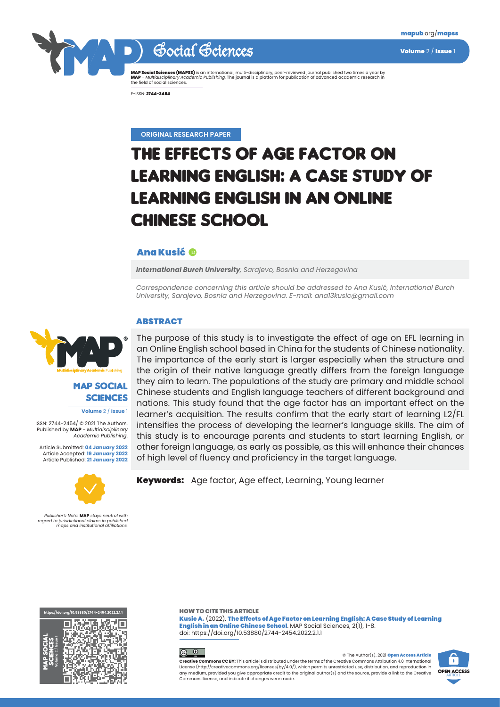

Social Sciences Volume 2/ Issue 1

**MAP Social Sciences (MAPSS)** is an international, multi-disciplinary, peer-reviewed journal published two times a year by<br>**MAP -** *Multidisciplinary Academic Publishing*. The journal is a platform for publication of advan

E-ISSN: 2744-2454

**ORIGINAL RESEARCH PAPER**

# THE EFFECTS OF AGE FACTOR ON LEARNING ENGLISH: A CASE STUDY OF LEARNING ENGLISH IN AN ONLINE CHINESE SCHOOL

## Ana Kusić

*International Burch University, Sarajevo, Bosnia and Herzegovina*

*Correspondence concerning this article should be addressed to Ana Kusić, International Burch University, Sarajevo, Bosnia and Herzegovina. E-mail: ana13kusic@gmail.com*

### **ABSTRACT**



# MAP SOCIAL **SCIENCES**

**Volume** 2 / **Issue** 1

ISSN: 2744-2454/ © 2021 The Authors. Published by **MAP** - *Multidisciplinary Academic Publishing*.

Article Submitted: **04 January 2022** Article Accepted: **19 January 2022** Article Published: **21 January 2022**



*Publisher's Note:* **MAP** *stays neutral with regard to jurisdictional claims in published maps and institutional affiliations.*

The purpose of this study is to investigate the effect of age on EFL learning in an Online English school based in China for the students of Chinese nationality. The importance of the early start is larger especially when the structure and the origin of their native language greatly differs from the foreign language they aim to learn. The populations of the study are primary and middle school Chinese students and English language teachers of different background and nations. This study found that the age factor has an important effect on the learner's acquisition. The results confirm that the early start of learning L2/FL intensifies the process of developing the learner's language skills. The aim of this study is to encourage parents and students to start learning English, or other foreign language, as early as possible, as this will enhance their chances of high level of fluency and proficiency in the target language.

**Keywords:** Age factor, Age effect, Learning, Young learner



HOW TO CITE THIS ARTICLE

Kusic A. (2022). The Effects of Age Factor on Learning English: A Case Study of Learning English in an Online Chinese School. MAP Social Sciences, 2(1), 1-8. doi: https://doi.org/10.53880/2744-2454.2022.2.1.1



© The Author(s). 2021 Open Access Article **Creative Commons CC BY:** This article is distributed under the terms of the Creative Commons Attribution 4.0 International License (<http://creativecommons.org/licenses/by/4.0/>), which permits unrestricted use, distribution, and reproduction in any medium, provided you give appropriate credit to the original author(s) and the source, provide a link to the Creative Commons license, and indicate if changes were made.

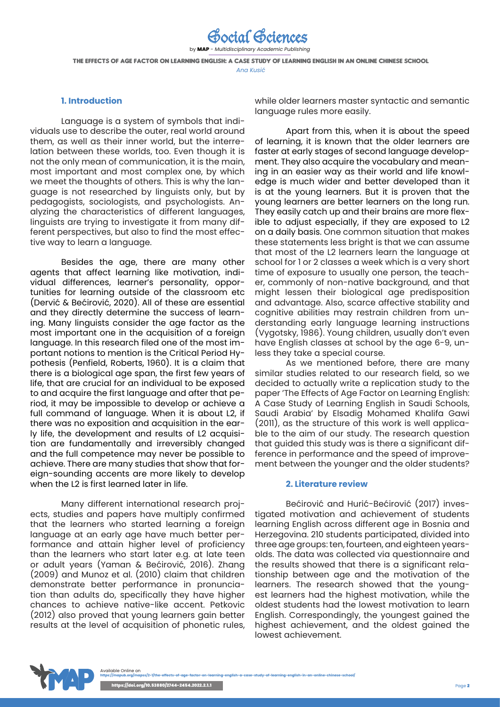by MAP - *Multidisciplinary Academic Publishing* THE EFFECTS OF AGE FACTOR ON LEARNING ENGLISH: A CASE STUDY OF LEARNING ENGLISH IN AN ONLINE CHINESE SCHOOL *Ana Kusić*

Social Sciences

### **1. Introduction**

Language is a system of symbols that individuals use to describe the outer, real world around them, as well as their inner world, but the interrelation between these worlds, too. Even though it is not the only mean of communication, it is the main, most important and most complex one, by which we meet the thoughts of others. This is why the language is not researched by linguists only, but by pedagogists, sociologists, and psychologists. Analyzing the characteristics of different languages, linguists are trying to investigate it from many different perspectives, but also to find the most effective way to learn a language.

Besides the age, there are many other agents that affect learning like motivation, individual differences, learner's personality, opportunities for learning outside of the classroom etc (Dervić & Bećirović, 2020). All of these are essential and they directly determine the success of learning. Many linguists consider the age factor as the most important one in the acquisition of a foreign language. In this research filed one of the most important notions to mention is the Critical Period Hypothesis (Penfield, Roberts, 1960). It is a claim that there is a biological age span, the first few years of life, that are crucial for an individual to be exposed to and acquire the first language and after that period, it may be impossible to develop or achieve a full command of language. When it is about L2, if there was no exposition and acquisition in the early life, the development and results of L2 acquisition are fundamentally and irreversibly changed and the full competence may never be possible to achieve. There are many studies that show that foreign-sounding accents are more likely to develop when the L2 is first learned later in life.

Many different international research projects, studies and papers have multiply confirmed that the learners who started learning a foreign language at an early age have much better performance and attain higher level of proficiency than the learners who start later e.g. at late teen or adult years (Yaman & Bećirović, 2016). Zhang (2009) and Munoz et al. (2010) claim that children demonstrate better performance in pronunciation than adults do, specifically they have higher chances to achieve native-like accent. Petkovic (2012) also proved that young learners gain better results at the level of acquisition of phonetic rules,

while older learners master syntactic and semantic language rules more easily.

Apart from this, when it is about the speed of learning, it is known that the older learners are faster at early stages of second language development. They also acquire the vocabulary and meaning in an easier way as their world and life knowledge is much wider and better developed than it is at the young learners. But it is proven that the young learners are better learners on the long run. They easily catch up and their brains are more flexible to adjust especially, if they are exposed to L2 on a daily basis. One common situation that makes these statements less bright is that we can assume that most of the L2 learners learn the language at school for 1 or 2 classes a week which is a very short time of exposure to usually one person, the teacher, commonly of non-native background, and that might lessen their biological age predisposition and advantage. Also, scarce affective stability and cognitive abilities may restrain children from understanding early language learning instructions (Vygotsky, 1986). Young children, usually don't even have English classes at school by the age 6-9, unless they take a special course.

As we mentioned before, there are many similar studies related to our research field, so we decided to actually write a replication study to the paper 'The Effects of Age Factor on Learning English: A Case Study of Learning English in Saudi Schools, Saudi Arabia' by Elsadig Mohamed Khalifa Gawi (2011), as the structure of this work is well applicable to the aim of our study. The research question that guided this study was is there a significant difference in performance and the speed of improvement between the younger and the older students?

#### **2. Literature review**

Bećirović and Hurić-Bećirović (2017) investigated motivation and achievement of students learning English across different age in Bosnia and Herzegovina. 210 students participated, divided into three age groups: ten, fourteen, and eighteen yearsolds. The data was collected via questionnaire and the results showed that there is a significant relationship between age and the motivation of the learners. The research showed that the youngest learners had the highest motivation, while the oldest students had the lowest motivation to learn English. Correspondingly, the youngest gained the highest achievement, and the oldest gained the lowest achievement.

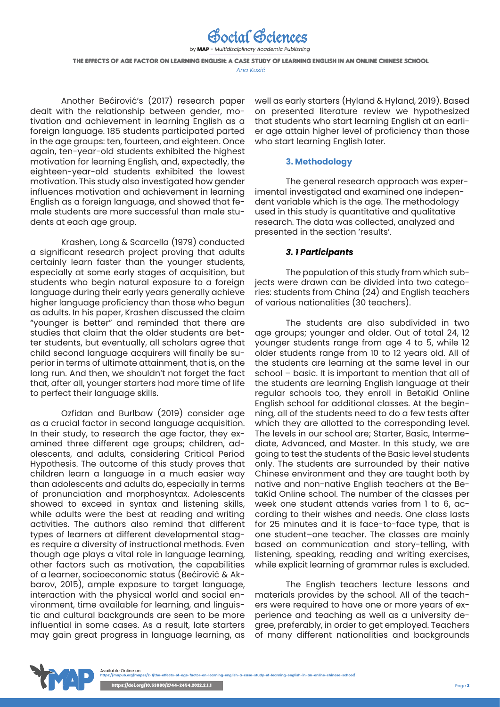by MAP - *Multidisciplinary Academic Publishing* THE EFFECTS OF AGE FACTOR ON LEARNING ENGLISH: A CASE STUDY OF LEARNING ENGLISH IN AN ONLINE CHINESE SCHOOL *Ana Kusić*

Social Sciences

Another Bećirović's (2017) research paper dealt with the relationship between gender, motivation and achievement in learning English as a foreign language. 185 students participated parted in the age groups: ten, fourteen, and eighteen. Once again, ten-year-old students exhibited the highest motivation for learning English, and, expectedly, the eighteen-year-old students exhibited the lowest motivation. This study also investigated how gender influences motivation and achievement in learning English as a foreign language, and showed that female students are more successful than male students at each age group.

Krashen, Long & Scarcella (1979) conducted a significant research project proving that adults certainly learn faster than the younger students, especially at some early stages of acquisition, but students who begin natural exposure to a foreign language during their early years generally achieve higher language proficiency than those who begun as adults. In his paper, Krashen discussed the claim "younger is better" and reminded that there are studies that claim that the older students are better students, but eventually, all scholars agree that child second language acquirers will finally be superior in terms of ultimate attainment, that is, on the long run. And then, we shouldn't not forget the fact that, after all, younger starters had more time of life to perfect their language skills.

Ozfidan and Burlbaw (2019) consider age as a crucial factor in second language acquisition. In their study, to research the age factor, they examined three different age groups; children, adolescents, and adults, considering Critical Period Hypothesis. The outcome of this study proves that children learn a language in a much easier way than adolescents and adults do, especially in terms of pronunciation and morphosyntax. Adolescents showed to exceed in syntax and listening skills, while adults were the best at reading and writing activities. The authors also remind that different types of learners at different developmental stages require a diversity of instructional methods. Even though age plays a vital role in language learning, other factors such as motivation, the capabilities of a learner, socioeconomic status (Bećirović & Akbarov, 2015), ample exposure to target language, interaction with the physical world and social environment, time available for learning, and linguistic and cultural backgrounds are seen to be more influential in some cases. As a result, late starters may gain great progress in language learning, as

well as early starters (Hyland & Hyland, 2019). Based on presented literature review we hypothesized that students who start learning English at an earlier age attain higher level of proficiency than those who start learning English later.

### **3. Methodology**

The general research approach was experimental investigated and examined one independent variable which is the age. The methodology used in this study is quantitative and qualitative research. The data was collected, analyzed and presented in the section 'results'.

### *3. 1 Participants*

The population of this study from which subjects were drawn can be divided into two categories: students from China (24) and English teachers of various nationalities (30 teachers).

The students are also subdivided in two age groups; younger and older. Out of total 24, 12 younger students range from age 4 to 5, while 12 older students range from 10 to 12 years old. All of the students are learning at the same level in our school – basic. It is important to mention that all of the students are learning English language at their regular schools too, they enroll in BetaKid Online English school for additional classes. At the beginning, all of the students need to do a few tests after which they are allotted to the corresponding level. The levels in our school are; Starter, Basic, Intermediate, Advanced, and Master. In this study, we are going to test the students of the Basic level students only. The students are surrounded by their native Chinese environment and they are taught both by native and non-native English teachers at the BetaKid Online school. The number of the classes per week one student attends varies from 1 to 6, according to their wishes and needs. One class lasts for 25 minutes and it is face-to-face type, that is one student–one teacher. The classes are mainly based on communication and story-telling, with listening, speaking, reading and writing exercises, while explicit learning of grammar rules is excluded.

The English teachers lecture lessons and materials provides by the school. All of the teachers were required to have one or more years of experience and teaching as well as a university degree, preferably, in order to get employed. Teachers of many different nationalities and backgrounds

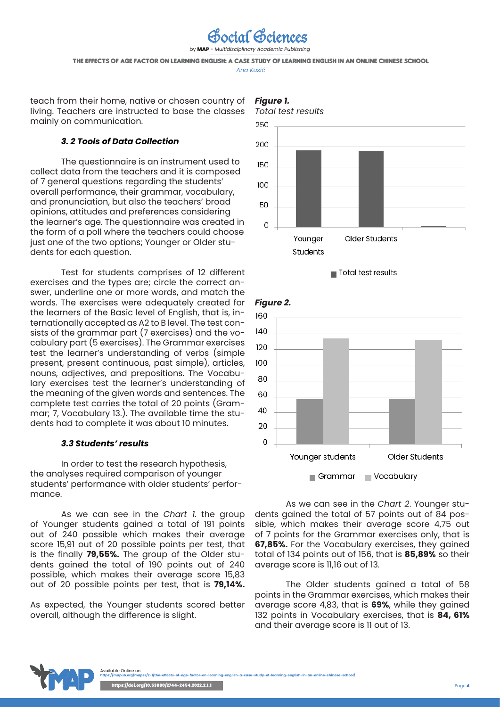

by MAP - *Multidisciplinary Academic Publishing*

THE EFFECTS OF AGE FACTOR ON LEARNING ENGLISH: A CASE STUDY OF LEARNING ENGLISH IN AN ONLINE CHINESE SCHOOL

*Ana Kusić*

teach from their home, native or chosen country of living. Teachers are instructed to base the classes mainly on communication.

## *3. 2 Tools of Data Collection*

The questionnaire is an instrument used to collect data from the teachers and it is composed of 7 general questions regarding the students' overall performance, their grammar, vocabulary, and pronunciation, but also the teachers' broad opinions, attitudes and preferences considering the learner's age. The questionnaire was created in the form of a poll where the teachers could choose just one of the two options; Younger or Older students for each question.

Test for students comprises of 12 different exercises and the types are; circle the correct answer, underline one or more words, and match the words. The exercises were adequately created for the learners of the Basic level of English, that is, internationally accepted as A2 to B level. The test consists of the grammar part (7 exercises) and the vocabulary part (5 exercises). The Grammar exercises test the learner's understanding of verbs (simple present, present continuous, past simple), articles, nouns, adjectives, and prepositions. The Vocabulary exercises test the learner's understanding of the meaning of the given words and sentences. The complete test carries the total of 20 points (Grammar; 7, Vocabulary 13.). The available time the students had to complete it was about 10 minutes.

## *3.3 Students' results*

In order to test the research hypothesis, the analyses required comparison of younger students' performance with older students' performance.

As we can see in the *Chart 1.* the group of Younger students gained a total of 191 points out of 240 possible which makes their average score 15,91 out of 20 possible points per test, that is the finally **79,55%.** The group of the Older students gained the total of 190 points out of 240 possible, which makes their average score 15,83 out of 20 possible points per test, that is **79,14%.**

As expected, the Younger students scored better overall, although the difference is slight.









As we can see in the *Chart 2*. Younger students gained the total of 57 points out of 84 possible, which makes their average score 4,75 out of 7 points for the Grammar exercises only, that is **67,85%.** For the Vocabulary exercises, they gained total of 134 points out of 156, that is **85,89%** so their average score is 11,16 out of 13.

The Older students gained a total of 58 points in the Grammar exercises, which makes their average score 4,83, that is **69%**, while they gained 132 points in Vocabulary exercises, that is **84, 61%** and their average score is 11 out of 13.

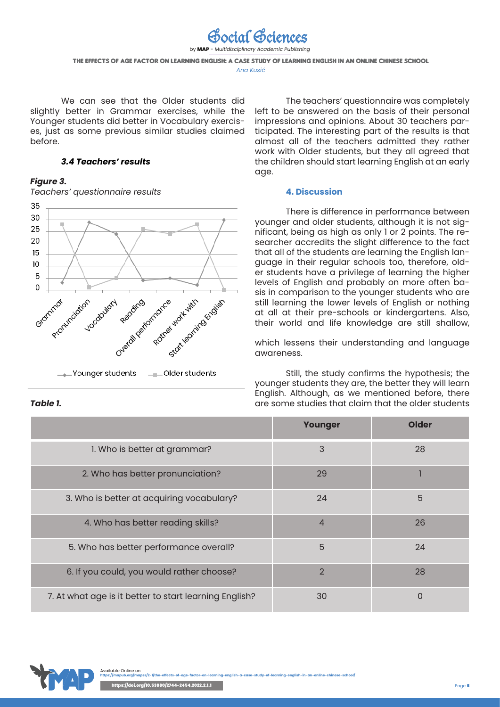

We can see that the Older students did slightly better in Grammar exercises, while the Younger students did better in Vocabulary exercises, just as some previous similar studies claimed before.

## *3.4 Teachers' results*

### *Figure 3.*

*Teachers' questionnaire results*



The teachers' questionnaire was completely left to be answered on the basis of their personal impressions and opinions. About 30 teachers participated. The interesting part of the results is that almost all of the teachers admitted they rather work with Older students, but they all agreed that the children should start learning English at an early age.

### **4. Discussion**

There is difference in performance between younger and older students, although it is not significant, being as high as only 1 or 2 points. The researcher accredits the slight difference to the fact that all of the students are learning the English language in their regular schools too, therefore, older students have a privilege of learning the higher levels of English and probably on more often basis in comparison to the younger students who are still learning the lower levels of English or nothing at all at their pre-schools or kindergartens. Also, their world and life knowledge are still shallow,

which lessens their understanding and language awareness.

Still, the study confirms the hypothesis; the younger students they are, the better they will learn English. Although, as we mentioned before, there are some studies that claim that the older students

|                                                        | Younger        | <b>Older</b> |
|--------------------------------------------------------|----------------|--------------|
| 1. Who is better at grammar?                           | 3              | 28           |
| 2. Who has better pronunciation?                       | 29             |              |
| 3. Who is better at acquiring vocabulary?              | 24             | 5            |
| 4. Who has better reading skills?                      | 4              | 26           |
| 5. Who has better performance overall?                 | 5              | 24           |
| 6. If you could, you would rather choose?              | $\overline{2}$ | 28           |
| 7. At what age is it better to start learning English? | 30             | 0            |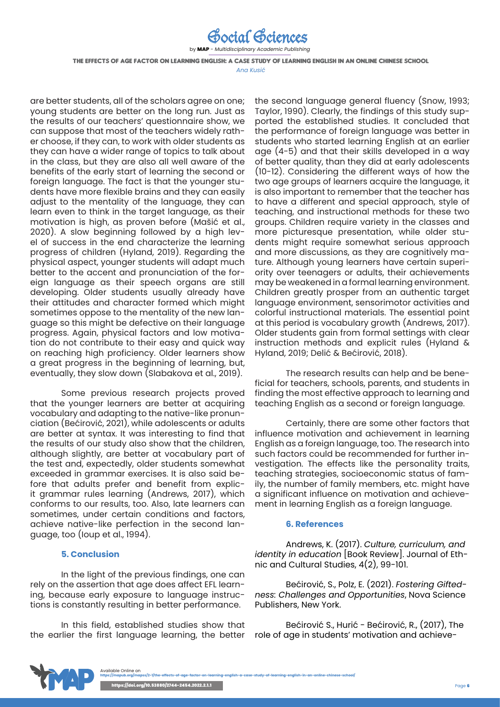

by MAP - *Multidisciplinary Academic Publishing*

THE EFFECTS OF AGE FACTOR ON LEARNING ENGLISH: A CASE STUDY OF LEARNING ENGLISH IN AN ONLINE CHINESE SCHOOL

*Ana Kusić*

are better students, all of the scholars agree on one; young students are better on the long run. Just as the results of our teachers' questionnaire show, we can suppose that most of the teachers widely rather choose, if they can, to work with older students as they can have a wider range of topics to talk about in the class, but they are also all well aware of the benefits of the early start of learning the second or foreign language. The fact is that the younger students have more flexible brains and they can easily adjust to the mentality of the language, they can learn even to think in the target language, as their motivation is high, as proven before (Mašić et al., 2020). A slow beginning followed by a high level of success in the end characterize the learning progress of children (Hyland, 2019). Regarding the physical aspect, younger students will adapt much better to the accent and pronunciation of the foreign language as their speech organs are still developing. Older students usually already have their attitudes and character formed which might sometimes oppose to the mentality of the new language so this might be defective on their language progress. Again, physical factors and low motivation do not contribute to their easy and quick way on reaching high proficiency. Older learners show a great progress in the beginning of learning, but, eventually, they slow down (Slabakova et al., 2019).

Some previous research projects proved that the younger learners are better at acquiring vocabulary and adapting to the native-like pronunciation (Bećirović, 2021), while adolescents or adults are better at syntax. It was interesting to find that the results of our study also show that the children, although slightly, are better at vocabulary part of the test and, expectedly, older students somewhat exceeded in grammar exercises. It is also said before that adults prefer and benefit from explicit grammar rules learning (Andrews, 2017), which conforms to our results, too. Also, late learners can sometimes, under certain conditions and factors, achieve native-like perfection in the second language, too (Ioup et al., 1994).

## **5. Conclusion**

In the light of the previous findings, one can rely on the assertion that age does affect EFL learning, because early exposure to language instructions is constantly resulting in better performance.

In this field, established studies show that the earlier the first language learning, the better the second language general fluency (Snow, 1993; Taylor, 1990). Clearly, the findings of this study supported the established studies. It concluded that the performance of foreign language was better in students who started learning English at an earlier age (4-5) and that their skills developed in a way of better quality, than they did at early adolescents (10-12). Considering the different ways of how the two age groups of learners acquire the language, it is also important to remember that the teacher has to have a different and special approach, style of teaching, and instructional methods for these two groups. Children require variety in the classes and more picturesque presentation, while older students might require somewhat serious approach and more discussions, as they are cognitively mature. Although young learners have certain superiority over teenagers or adults, their achievements may be weakened in a formal learning environment. Children greatly prosper from an authentic target language environment, sensorimotor activities and colorful instructional materials. The essential point at this period is vocabulary growth (Andrews, 2017). Older students gain from formal settings with clear instruction methods and explicit rules (Hyland & Hyland, 2019; Delić & Bećirović, 2018).

The research results can help and be beneficial for teachers, schools, parents, and students in finding the most effective approach to learning and teaching English as a second or foreign language.

Certainly, there are some other factors that influence motivation and achievement in learning English as a foreign language, too. The research into such factors could be recommended for further investigation. The effects like the personality traits, teaching strategies, socioeconomic status of family, the number of family members, etc. might have a significant influence on motivation and achievement in learning English as a foreign language.

### **6. References**

Andrews, K. (2017). *Culture, curriculum, and identity in education* [Book Review]. Journal of Ethnic and Cultural Studies, 4(2), 99-101.

Bećirović, S., Polz, E. (2021). *Fostering Giftedness: Challenges and Opportunities*, Nova Science Publishers, New York.

[Bećirović](https://www.researchgate.net/profile/Senad_Becirovic2?_sg=0bh4W5g5ap1bPClRltwwiE304KLjYOHikk1R7CMu77tDZlpgjBBop_ao-JcUprDPOpV_19I.-x0I7PGGMjaoeuvto-e5F9qo5FRQLbk539-RV6rEKEccPULgsWp2YnWdt273cbEP4v2TIm4nJCGQ-vB-jvlCCA) S.[, Hurić - Bećirović](https://www.researchgate.net/scientific-contributions/2144424234_Remzija_Huric-Becirovic?_sg=0bh4W5g5ap1bPClRltwwiE304KLjYOHikk1R7CMu77tDZlpgjBBop_ao-JcUprDPOpV_19I.-x0I7PGGMjaoeuvto-e5F9qo5FRQLbk539-RV6rEKEccPULgsWp2YnWdt273cbEP4v2TIm4nJCGQ-vB-jvlCCA), R., (2017), The role of age in students' motivation and achieve-

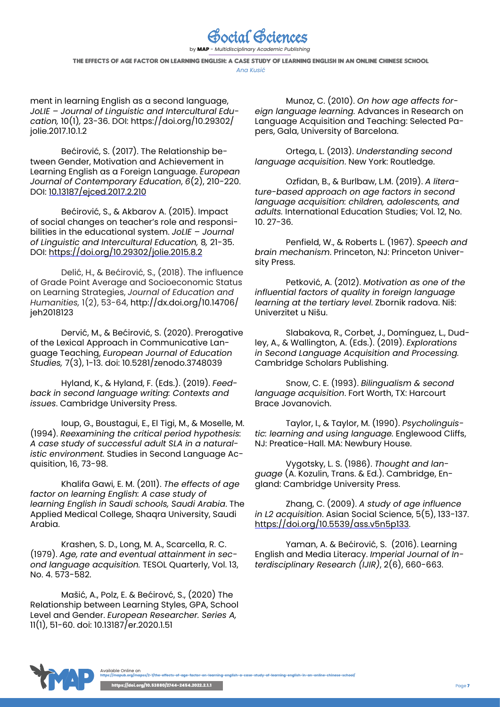

by MAP - *Multidisciplinary Academic Publishing*

THE EFFECTS OF AGE FACTOR ON LEARNING ENGLISH: A CASE STUDY OF LEARNING ENGLISH IN AN ONLINE CHINESE SCHOOL *Ana Kusić*

ment in learning English as a second language, *JoLIE – Journal of Linguistic and Intercultural Education,* 10(1)*,* 23-36. DOI: https://doi.org/10.29302/ jolie.2017.10.1.2

Bećirović, S. (2017). The Relationship between Gender, Motivation and Achievement in Learning English as a Foreign Language. *European Journal of Contemporary Education*, *6*(2), 210-220. DOI: [10.13187/ejced.2017.2.210](http://dx.doi.org/10.13187/ejced.2017.2.210)

Bećirović, S., & Akbarov A. (2015). Impact of social changes on teacher's role and responsibilities in the educational system. *JoLIE – Journal of Linguistic and Intercultural Education,* 8*,* 21-35. DOI:<https://doi.org/10.29302/jolie.2015.8.2>

Delić, H., & Bećirović, S., (2018). The influence of Grade Point Average and Socioeconomic Status on Learning Strategies, *Journal of Education and Humanities,* 1(2), 53-64, http://dx.doi.org/10.14706/ ieh2018123

Dervić, M., & Bećirović, S. (2020). Prerogative of the Lexical Approach in Communicative Language Teaching, *European Journal of Education Studies,* 7(3), 1-13. doi: 10.5281/zenodo.3748039

Hyland, K., & Hyland, F. (Eds.). (2019). *Feedback in second language writing: Contexts and issues*. Cambridge University Press.

Ioup, G., Boustagui, E., El Tigi, M., & Moselle, M. (1994). *Reexamining the critical period hypothesis: A case study of successful adult SLA in a naturalistic environment.* Studies in Second Language Acquisition, 16, 73-98.

Khalifa Gawi, E. M. (2011). *The effects of age factor on learning English: A case study of learning English in Saudi schools, Saudi Arabia*. The Applied Medical College, Shaqra University, Saudi Arabia.

Krashen, S. D., Long, M. A., Scarcella, R. C. (1979). *Age, rate and eventual attainment in second language acquisition.* TESOL Quarterly, Vol. 13, No. 4. 573-582.

Mašić, A., Polz, E. & Bećirovć, S., (2020) The Relationship between Learning Styles, GPA, School Level and Gender. *European Researcher. Series A,* 11(1), 51-60. doi: 10.13187/er.2020.1.51

Munoz, C. (2010). *On how age affects foreign language learning.* Advances in Research on Language Acquisition and Teaching: Selected Papers, Gala, University of Barcelona.

Ortega, L. (2013). *Understanding second language acquisition*. New York: Routledge.

Ozfidan, B., & Burlbaw, L.M. (2019). *A literature-based approach on age factors in second language acquisition: children, adolescents, and adults.* International Education Studies; Vol. 12, No. 10. 27-36.

Penfield, W., & Roberts L. (1967). *Speech and brain mechanism*. Princeton, NJ: Princeton University Press.

Petković, A. (2012). *Motivation as one of the influential factors of quality in foreign language learning at the tertiary level*. Zbornik radova. Niš: Univerzitet u Nišu.

Slabakova, R., Corbet, J., Domínguez, L., Dudley, A., & Wallington, A. (Eds.). (2019). *Explorations in Second Language Acquisition and Processing.* Cambridge Scholars Publishing.

Snow, C. E. (1993). *Bilingualism & second language acquisition*. Fort Worth, TX: Harcourt Brace Jovanovich.

Taylor, I., & Taylor, M. (1990). *Psycholinguistic: learning and using language.* Englewood Cliffs, NJ: Preatice-Hall. MA: Newbury House.

Vygotsky, L. S. (1986). *Thought and language* (A. Kozulin, Trans. & Ed.). Cambridge, England: Cambridge University Press.

Zhang, C. (2009). *A study of age influence in L2 acquisition*. Asian Social Science, 5(5), 133-137. <https://doi.org/10.5539/ass.v5n5p133>.

Yaman, A. & Bećirović, S. (2016). Learning English and Media Literacy. *Imperial Journal of Interdisciplinary Research (IJIR)*, 2(6), 660-663.